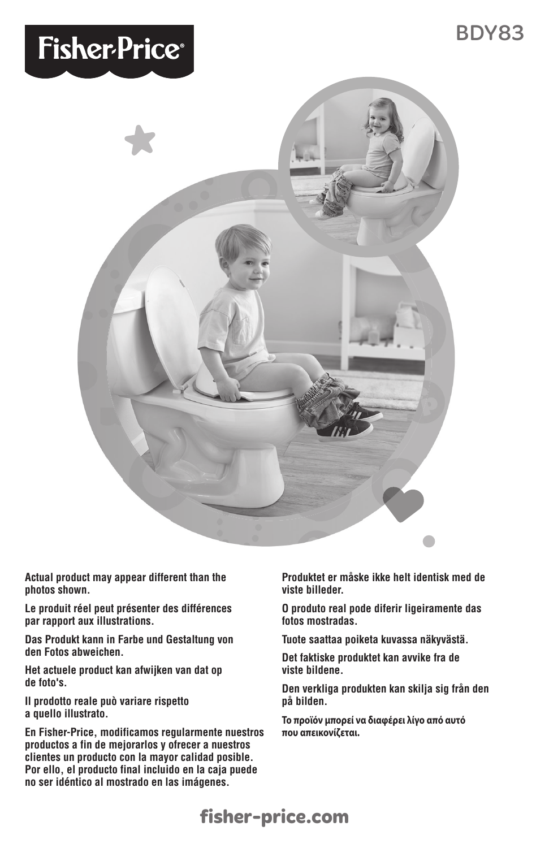# **Fisher-Price®**



**Actual product may appear different than the photos shown.**

**Le produit réel peut présenter des différences par rapport aux illustrations.**

**Das Produkt kann in Farbe und Gestaltung von den Fotos abweichen.**

**Het actuele product kan afwijken van dat op de foto's.**

**Il prodotto reale può variare rispetto a quello illustrato.**

**En Fisher-Price, modificamos regularmente nuestros productos a fin de mejorarlos y ofrecer a nuestros clientes un producto con la mayor calidad posible. Por ello, el producto final incluido en la caja puede no ser idéntico al mostrado en las imágenes.**

**Produktet er måske ikke helt identisk med de viste billeder.**

**O produto real pode diferir ligeiramente das fotos mostradas.**

**Tuote saattaa poiketa kuvassa näkyvästä.**

**Det faktiske produktet kan avvike fra de viste bildene.**

**Den verkliga produkten kan skilja sig från den på bilden.**

**Το προϊόν μπορεί να διαφέρει λίγο από αυτό που απεικονίζεται.**

## **1 fisher-price.com**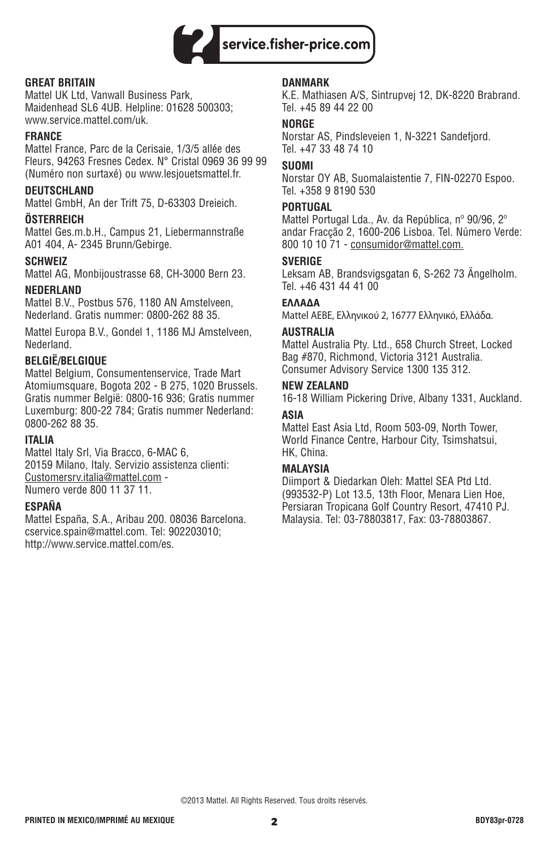

#### **GREAT BRITAIN**

Mattel UK Ltd, Vanwall Business Park, Maidenhead SL6 4UB. Helpline: 01628 500303; www.service.mattel.com/uk.

#### **FRANCE**

Mattel France, Parc de la Cerisaie, 1/3/5 allée des Fleurs, 94263 Fresnes Cedex. N° Cristal 0969 36 99 99 (Numéro non surtaxé) ou www.lesjouetsmattel.fr.

#### **DEUTSCHLAND**

Mattel GmbH, An der Trift 75, D-63303 Dreieich.

#### **ÖSTERREICH**

Mattel Ges.m.b.H., Campus 21, Liebermannstraße A01 404, A- 2345 Brunn/Gebirge.

#### **SCHWEIZ**

Mattel AG, Monbijoustrasse 68, CH-3000 Bern 23.

#### **NEDERLAND**

Mattel B.V., Postbus 576, 1180 AN Amstelveen, Nederland. Gratis nummer: 0800-262 88 35.

Mattel Europa B.V., Gondel 1, 1186 MJ Amstelveen, Nederland.

#### **BELGIË/BELGIQUE**

Mattel Belgium, Consumentenservice, Trade Mart Atomiumsquare, Bogota 202 - B 275, 1020 Brussels. Gratis nummer België: 0800-16 936; Gratis nummer Luxemburg: 800-22 784; Gratis nummer Nederland: 0800-262 88 35.

#### **ITALIA**

Mattel Italy Srl, Via Bracco, 6-MAC 6, 20159 Milano, Italy. Servizio assistenza clienti: Customersrv.italia@mattel.com - Numero verde 800 11 37 11.

#### **ESPAÑA**

Mattel España, S.A., Aribau 200. 08036 Barcelona. cservice.spain@mattel.com. Tel: 902203010; http://www.service.mattel.com/es.

#### **DANMARK**

K.E. Mathiasen A/S, Sintrupvej 12, DK-8220 Brabrand. Tel. +45 89 44 22 00

#### **NORGE**

Norstar AS, Pindsleveien 1, N-3221 Sandefjord. Tel. +47 33 48 74 10

#### **SUOMI**

Norstar OY AB, Suomalaistentie 7, FIN-02270 Espoo. Tel. +358 9 8190 530

#### **PORTUGAL**

Mattel Portugal Lda., Av. da República, nº 90/96, 2º andar Fracção 2, 1600-206 Lisboa. Tel. Número Verde: 800 10 10 71 - consumidor@mattel.com.

#### **SVERIGE**

Leksam AB, Brandsvigsgatan 6, S-262 73 Ängelholm. Tel. +46 431 44 41 00

#### **ΕΛΛΑΔΑ**

Mattel AEBE, Ελληνικού 2, 16777 Ελληνικό, Ελλάδα.

#### **AUSTRALIA**

Mattel Australia Pty. Ltd., 658 Church Street, Locked Bag #870, Richmond, Victoria 3121 Australia. Consumer Advisory Service 1300 135 312.

#### **NEW ZEALAND**

16-18 William Pickering Drive, Albany 1331, Auckland.

#### **ASIA**

Mattel East Asia Ltd, Room 503-09, North Tower, World Finance Centre, Harbour City, Tsimshatsui, HK, China.

#### **MALAYSIA**

Diimport & Diedarkan Oleh: Mattel SEA Ptd Ltd. (993532-P) Lot 13.5, 13th Floor, Menara Lien Hoe, Persiaran Tropicana Golf Country Resort, 47410 PJ. Malaysia. Tel: 03-78803817, Fax: 03-78803867.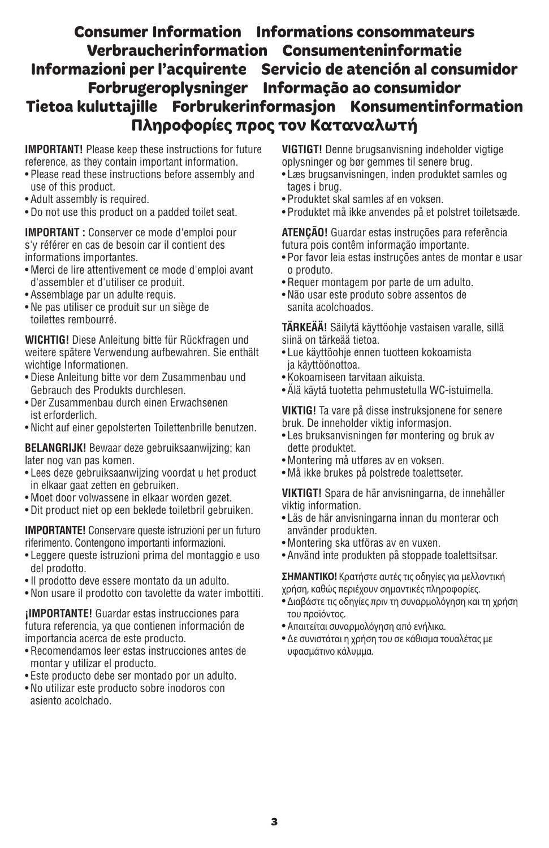### **Consumer Information Informations consommateurs Verbraucherinformation Consumenteninformatie Informazioni per l'acquirente Servicio de atención al consumidor Forbrugeroplysninger Informação ao consumidor Tietoa kuluttajille Forbrukerinformasjon Konsumentinformation Πληροφορίες προς τον Καταναλωτή**

**IMPORTANT!** Please keep these instructions for future reference, as they contain important information.

- Please read these instructions before assembly and use of this product.
- Adult assembly is required.
- Do not use this product on a padded toilet seat.

**IMPORTANT :** Conserver ce mode d'emploi pour s'y référer en cas de besoin car il contient des informations importantes.

- Merci de lire attentivement ce mode d'emploi avant d'assembler et d'utiliser ce produit.
- Assemblage par un adulte requis.
- Ne pas utiliser ce produit sur un siège de toilettes rembourré.

**WICHTIG!** Diese Anleitung bitte für Rückfragen und weitere spätere Verwendung aufbewahren. Sie enthält wichtige Informationen.

- Diese Anleitung bitte vor dem Zusammenbau und Gebrauch des Produkts durchlesen.
- Der Zusammenbau durch einen Erwachsenen ist erforderlich.
- Nicht auf einer gepolsterten Toilettenbrille benutzen.

**BELANGRIJK!** Bewaar deze gebruiksaanwijzing; kan later nog van pas komen.

- Lees deze gebruiksaanwijzing voordat u het product in elkaar gaat zetten en gebruiken.
- Moet door volwassene in elkaar worden gezet.
- Dit product niet op een beklede toiletbril gebruiken.

**IMPORTANTE!** Conservare queste istruzioni per un futuro riferimento. Contengono importanti informazioni.

- Leggere queste istruzioni prima del montaggio e uso del prodotto.
- Il prodotto deve essere montato da un adulto.
- Non usare il prodotto con tavolette da water imbottiti.

**¡IMPORTANTE!** Guardar estas instrucciones para futura referencia, ya que contienen información de importancia acerca de este producto.

- Recomendamos leer estas instrucciones antes de montar y utilizar el producto.
- Este producto debe ser montado por un adulto.
- No utilizar este producto sobre inodoros con asiento acolchado.

**VIGTIGT!** Denne brugsanvisning indeholder vigtige oplysninger og bør gemmes til senere brug.

- Læs brugsanvisningen, inden produktet samles og tages i brug.
- Produktet skal samles af en voksen.
- Produktet må ikke anvendes på et polstret toiletsæde.

**ATENÇÃO!** Guardar estas instruções para referência futura pois contêm informação importante.

- Por favor leia estas instruções antes de montar e usar o produto.
- Requer montagem por parte de um adulto.
- Não usar este produto sobre assentos de sanita acolchoados.

**TÄRKEÄÄ!** Säilytä käyttöohje vastaisen varalle, sillä siinä on tärkeää tietoa.

- Lue käyttöohje ennen tuotteen kokoamista ja käyttöönottoa.
- Kokoamiseen tarvitaan aikuista.
- Älä käytä tuotetta pehmustetulla WC-istuimella.

**VIKTIG!** Ta vare på disse instruksjonene for senere bruk. De inneholder viktig informasjon.

- Les bruksanvisningen før montering og bruk av dette produktet.
- Montering må utføres av en voksen.
- Må ikke brukes på polstrede toalettseter.

**VIKTIGT!** Spara de här anvisningarna, de innehåller viktig information.

- Läs de här anvisningarna innan du monterar och använder produkten.
- Montering ska utföras av en vuxen.
- Använd inte produkten på stoppade toalettsitsar.

**ΣΗΜΑΝΤΙΚΟ!** Κρατήστε αυτές τις οδηγίες για μελλοντική χρήση, καθώς περιέχουν σημαντικές πληροφορίες.

- Διαβάστε τις οδηγίες πριν τη συναρμολόγηση και τη χρήση του προϊόντος.
- Απαιτείται συναρμολόγηση από ενήλικα.
- Δε συνιστάται η χρήση του σε κάθισμα τουαλέτας με υφασμάτινο κάλυμμα.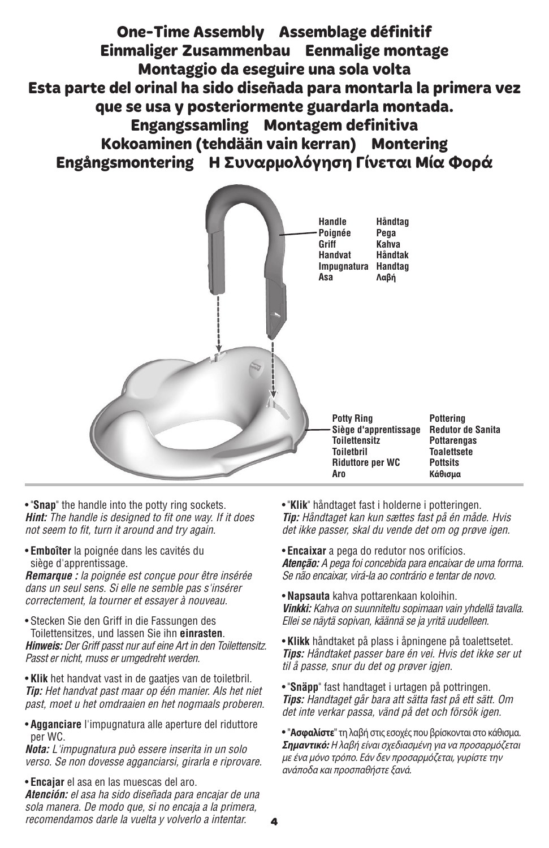**One-Time Assembly Assemblage définitif Einmaliger Zusammenbau Eenmalige montage Montaggio da eseguire una sola volta Esta parte del orinal ha sido diseñada para montarla la primera vez que se usa y posteriormente guardarla montada. Engangssamling Montagem definitiva Kokoaminen (tehdään vain kerran) Montering Engångsmontering Η Συναρμολόγηση Γίνεται Μία Φορά**



• "**Snap**" the handle into the potty ring sockets. **Hint:** The handle is designed to fit one way. If it does not seem to fit, turn it around and try again.

• **Emboîter** la poignée dans les cavités du siège d'apprentissage.

**Remarque :** la poignée est conçue pour être insérée dans un seul sens. Si elle ne semble pas s'insérer correctement, la tourner et essayer à nouveau.

• Stecken Sie den Griff in die Fassungen des Toilettensitzes, und lassen Sie ihn **einrasten**. **Hinweis:** Der Griff passt nur auf eine Art in den Toilettensitz. Passt er nicht, muss er umgedreht werden.

• **Klik** het handvat vast in de gaatjes van de toiletbril. **Tip:** Het handvat past maar op één manier. Als het niet past, moet u het omdraaien en het nogmaals proberen.

• **Agganciare** l'impugnatura alle aperture del riduttore per WC.

**Nota:** L'impugnatura può essere inserita in un solo verso. Se non dovesse agganciarsi, girarla e riprovare.

• **Encajar** el asa en las muescas del aro.

**Atención:** el asa ha sido diseñada para encajar de una sola manera. De modo que, si no encaja a la primera, recomendamos darle la vuelta y volverlo a intentar.

• "**Klik**" håndtaget fast i holderne i potteringen. **Tip:** Håndtaget kan kun sættes fast på én måde. Hvis det ikke passer, skal du vende det om og prøve igen.

• **Encaixar** a pega do redutor nos orifícios. **Atenção:** A pega foi concebida para encaixar de uma forma. Se não encaixar, virá-la ao contrário e tentar de novo.

• **Napsauta** kahva pottarenkaan koloihin. **Vinkki:** Kahva on suunniteltu sopimaan vain yhdellä tavalla. Ellei se näytä sopivan, käännä se ja yritä uudelleen.

• **Klikk** håndtaket på plass i åpningene på toalettsetet. **Tips:** Håndtaket passer bare én vei. Hvis det ikke ser ut til å passe, snur du det og prøver igjen.

• "**Snäpp**" fast handtaget i urtagen på pottringen. **Tips:** Handtaget går bara att sätta fast på ett sätt. Om det inte verkar passa, vänd på det och försök igen.

• "**Ασφαλίστε**" τη λαβή στις εσοχές που βρίσκονται στο κάθισμα. **Σημαντικό:** Η λαβή είναι σχεδιασμένη για να προσαρμόζεται με ένα μόνο τρόπο. Εάν δεν προσαρμόζεται, γυρίστε την ανάποδα και προσπαθήστε ξανά.

**4**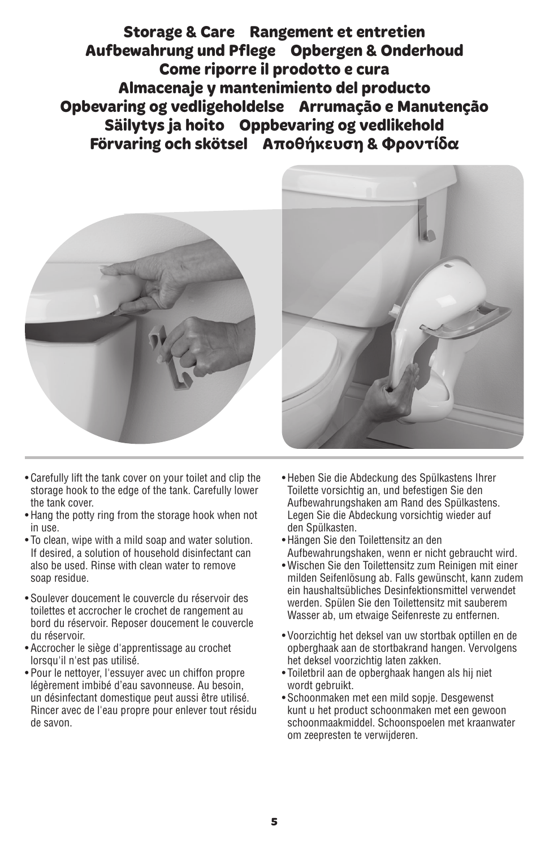**Storage & Care Rangement et entretien Aufbewahrung und Pflege Opbergen & Onderhoud Come riporre il prodotto e cura Almacenaje y mantenimiento del producto Opbevaring og vedligeholdelse Arrumação e Manutenção Säilytys ja hoito Oppbevaring og vedlikehold Förvaring och skötsel Αποθήκευση & Φροντίδα**



- Carefully lift the tank cover on your toilet and clip the storage hook to the edge of the tank. Carefully lower the tank cover.
- Hang the potty ring from the storage hook when not in use.
- To clean, wipe with a mild soap and water solution. If desired, a solution of household disinfectant can also be used. Rinse with clean water to remove soap residue.
- Soulever doucement le couvercle du réservoir des toilettes et accrocher le crochet de rangement au bord du réservoir. Reposer doucement le couvercle du réservoir.
- Accrocher le siège d'apprentissage au crochet lorsqu'il n'est pas utilisé.
- Pour le nettoyer, l'essuyer avec un chiffon propre légèrement imbibé d'eau savonneuse. Au besoin, un désinfectant domestique peut aussi être utilisé. Rincer avec de l'eau propre pour enlever tout résidu de savon.



- Heben Sie die Abdeckung des Spülkastens Ihrer Toilette vorsichtig an, und befestigen Sie den Aufbewahrungshaken am Rand des Spülkastens. Legen Sie die Abdeckung vorsichtig wieder auf den Spülkasten.
- Hängen Sie den Toilettensitz an den Aufbewahrungshaken, wenn er nicht gebraucht wird.
- Wischen Sie den Toilettensitz zum Reinigen mit einer milden Seifenlösung ab. Falls gewünscht, kann zudem ein haushaltsübliches Desinfektionsmittel verwendet werden. Spülen Sie den Toilettensitz mit sauberem Wasser ab, um etwaige Seifenreste zu entfernen.
- Voorzichtig het deksel van uw stortbak optillen en de opberghaak aan de stortbakrand hangen. Vervolgens het deksel voorzichtig laten zakken.
- Toiletbril aan de opberghaak hangen als hij niet wordt gebruikt.
- Schoonmaken met een mild sopje. Desgewenst kunt u het product schoonmaken met een gewoon schoonmaakmiddel. Schoonspoelen met kraanwater om zeepresten te verwijderen.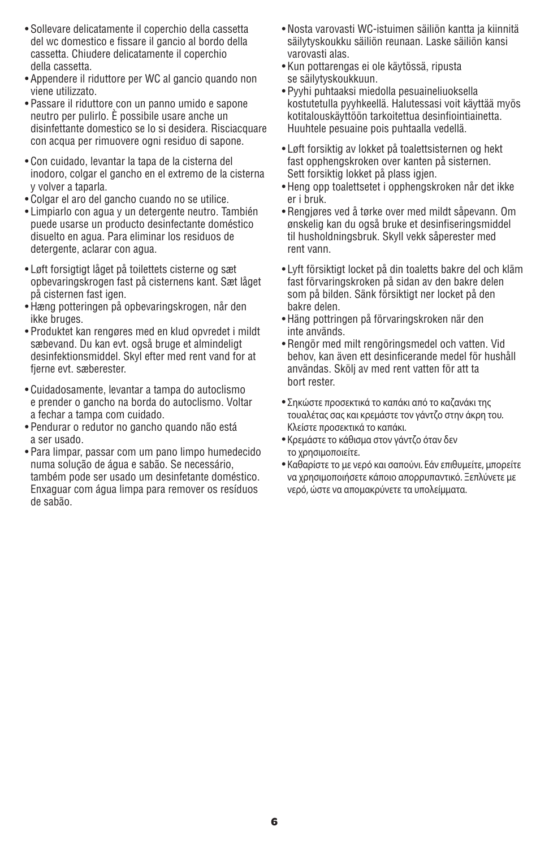- Sollevare delicatamente il coperchio della cassetta del wc domestico e fissare il gancio al bordo della cassetta. Chiudere delicatamente il coperchio della cassetta.
- Appendere il riduttore per WC al gancio quando non viene utilizzato.
- Passare il riduttore con un panno umido e sapone neutro per pulirlo. È possibile usare anche un disinfettante domestico se lo si desidera. Risciacquare con acqua per rimuovere ogni residuo di sapone.
- Con cuidado, levantar la tapa de la cisterna del inodoro, colgar el gancho en el extremo de la cisterna y volver a taparla.
- Colgar el aro del gancho cuando no se utilice.
- Limpiarlo con agua y un detergente neutro. También puede usarse un producto desinfectante doméstico disuelto en agua. Para eliminar los residuos de detergente, aclarar con agua.
- Løft forsigtigt låget på toilettets cisterne og sæt opbevaringskrogen fast på cisternens kant. Sæt låget på cisternen fast igen.
- Hæng potteringen på opbevaringskrogen, når den ikke bruges.
- Produktet kan rengøres med en klud opvredet i mildt sæbevand. Du kan evt. også bruge et almindeligt desinfektionsmiddel. Skyl efter med rent vand for at fierne evt. sæberester.
- Cuidadosamente, levantar a tampa do autoclismo e prender o gancho na borda do autoclismo. Voltar a fechar a tampa com cuidado.
- Pendurar o redutor no gancho quando não está a ser usado.
- Para limpar, passar com um pano limpo humedecido numa solução de água e sabão. Se necessário, também pode ser usado um desinfetante doméstico. Enxaguar com água limpa para remover os resíduos de sabão.
- Nosta varovasti WC-istuimen säiliön kantta ja kiinnitä säilytyskoukku säiliön reunaan. Laske säiliön kansi varovasti alas.
- Kun pottarengas ei ole käytössä, ripusta se säilytyskoukkuun.
- Pyyhi puhtaaksi miedolla pesuaineliuoksella kostutetulla pyyhkeellä. Halutessasi voit käyttää myös kotitalouskäyttöön tarkoitettua desinfiointiainetta. Huuhtele pesuaine pois puhtaalla vedellä.
- Løft forsiktig av lokket på toalettsisternen og hekt fast opphengskroken over kanten på sisternen. Sett forsiktig lokket på plass igjen.
- Heng opp toalettsetet i opphengskroken når det ikke er i bruk.
- Rengjøres ved å tørke over med mildt såpevann. Om ønskelig kan du også bruke et desinfiseringsmiddel til husholdningsbruk. Skyll vekk såperester med rent vann.
- Lyft försiktigt locket på din toaletts bakre del och kläm fast förvaringskroken på sidan av den bakre delen som på bilden. Sänk försiktigt ner locket på den bakre delen.
- Häng pottringen på förvaringskroken när den inte används.
- Rengör med milt rengöringsmedel och vatten. Vid behov, kan även ett desinficerande medel för hushåll användas. Skölj av med rent vatten för att ta bort rester.
- Σηκώστε προσεκτικά το καπάκι από το καζανάκι της τουαλέτας σας και κρεμάστε τον γάντζο στην άκρη του. Κλείστε προσεκτικά το καπάκι.
- Κρεμάστε το κάθισμα στον γάντζο όταν δεν το χρησιμοποιείτε.
- Καθαρίστε το με νερό και σαπούνι. Εάν επιθυμείτε, μπορείτε να χρησιμοποιήσετε κάποιο απορρυπαντικό. Ξεπλύνετε με νερό, ώστε να απομακρύνετε τα υπολείμματα.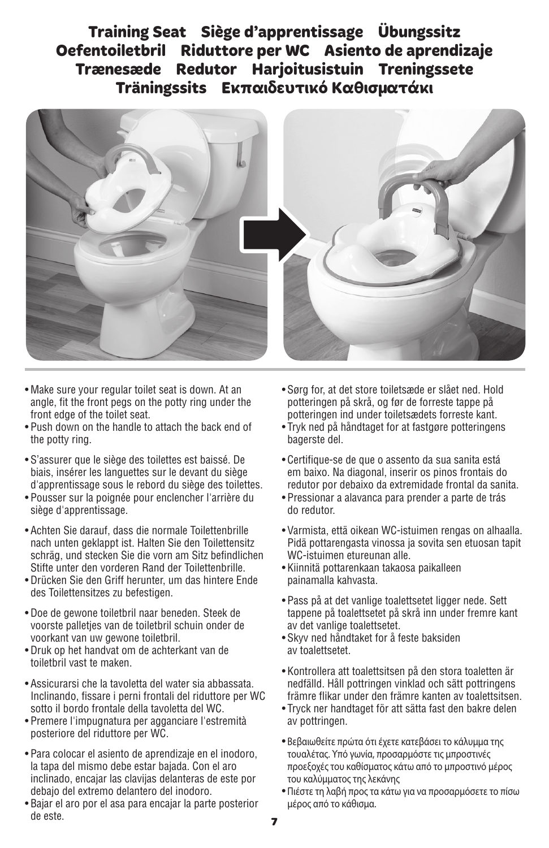**Training Seat Siège d'apprentissage Übungssitz Oefentoiletbril Riduttore per WC Asiento de aprendizaje Trænesæde Redutor Harjoitusistuin Treningssete Träningssits Εκπαιδευτικό Καθισματάκι**



- Make sure your regular toilet seat is down. At an angle, fit the front pegs on the potty ring under the front edge of the toilet seat.
- Push down on the handle to attach the back end of the potty ring.
- S'assurer que le siège des toilettes est baissé. De biais, insérer les languettes sur le devant du siège d'apprentissage sous le rebord du siège des toilettes.
- Pousser sur la poignée pour enclencher l'arrière du siège d'apprentissage.
- Achten Sie darauf, dass die normale Toilettenbrille nach unten geklappt ist. Halten Sie den Toilettensitz schräg, und stecken Sie die vorn am Sitz befindlichen Stifte unter den vorderen Rand der Toilettenbrille.
- Drücken Sie den Griff herunter, um das hintere Ende des Toilettensitzes zu befestigen.
- Doe de gewone toiletbril naar beneden. Steek de voorste palletjes van de toiletbril schuin onder de voorkant van uw gewone toiletbril.
- Druk op het handvat om de achterkant van de toiletbril vast te maken.
- Assicurarsi che la tavoletta del water sia abbassata. Inclinando, fissare i perni frontali del riduttore per WC sotto il bordo frontale della tavoletta del WC.
- Premere l'impugnatura per agganciare l'estremità posteriore del riduttore per WC.
- Para colocar el asiento de aprendizaje en el inodoro, la tapa del mismo debe estar bajada. Con el aro inclinado, encajar las clavijas delanteras de este por debajo del extremo delantero del inodoro.
- Bajar el aro por el asa para encajar la parte posterior de este.
- Sørg for, at det store toiletsæde er slået ned. Hold potteringen på skrå, og før de forreste tappe på potteringen ind under toiletsædets forreste kant.
- Tryk ned på håndtaget for at fastgøre potteringens bagerste del.
- Certifique-se de que o assento da sua sanita está em baixo. Na diagonal, inserir os pinos frontais do redutor por debaixo da extremidade frontal da sanita.
- Pressionar a alavanca para prender a parte de trás do redutor.
- Varmista, että oikean WC-istuimen rengas on alhaalla. Pidä pottarengasta vinossa ja sovita sen etuosan tapit WC-istuimen etureunan alle.
- Kiinnitä pottarenkaan takaosa paikalleen painamalla kahvasta.
- Pass på at det vanlige toalettsetet ligger nede. Sett tappene på toalettsetet på skrå inn under fremre kant av det vanlige toalettsetet.
- Skyv ned håndtaket for å feste baksiden av toalettsetet.
- Kontrollera att toalettsitsen på den stora toaletten är nedfälld. Håll pottringen vinklad och sätt pottringens främre flikar under den främre kanten av toalettsitsen.
- Tryck ner handtaget för att sätta fast den bakre delen av pottringen.
- Βεβαιωθείτε πρώτα ότι έχετε κατεβάσει το κάλυμμα της τουαλέτας. Υπό γωνία, προσαρμόστε τις μπροστινές προεξοχές του καθίσματος κάτω από το μπροστινό μέρος του καλύμματος της λεκάνης
- Πιέστε τη λαβή προς τα κάτω για να προσαρμόσετε το πίσω μέρος από το κάθισμα.